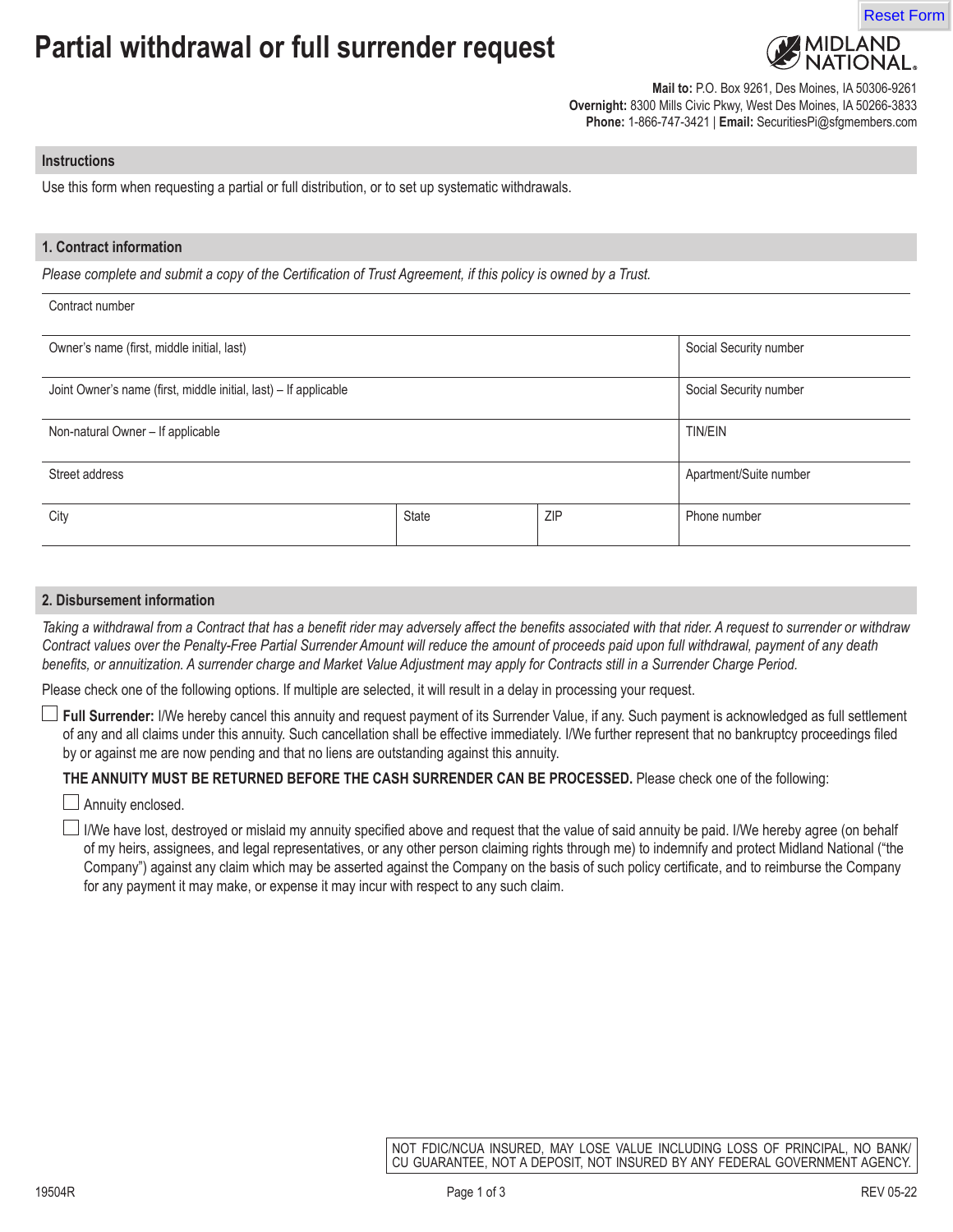# **Partial withdrawal or full surrender request**



Reset Form

**Mail to:** P.O. Box 9261, Des Moines, IA 50306-9261 **Overnight:** 8300 Mills Civic Pkwy, West Des Moines, IA 50266-3833 **Phone:** 1-866-747-3421 | **Email:** SecuritiesPi@sfgmembers.com

#### **Instructions**

Use this form when requesting a partial or full distribution, or to set up systematic withdrawals.

## **1. Contract information**

*Please complete and submit a copy of the Certification of Trust Agreement, if this policy is owned by a Trust.*

| Contract number                                                  |       |            |                        |
|------------------------------------------------------------------|-------|------------|------------------------|
| Owner's name (first, middle initial, last)                       |       |            | Social Security number |
| Joint Owner's name (first, middle initial, last) - If applicable |       |            | Social Security number |
| Non-natural Owner - If applicable                                |       |            | <b>TIN/EIN</b>         |
| Street address                                                   |       |            | Apartment/Suite number |
| City                                                             | State | <b>ZIP</b> | Phone number           |

## **2. Disbursement information**

*Taking a withdrawal from a Contract that has a benefit rider may adversely affect the benefits associated with that rider. A request to surrender or withdraw Contract values over the Penalty-Free Partial Surrender Amount will reduce the amount of proceeds paid upon full withdrawal, payment of any death benefits, or annuitization. A surrender charge and Market Value Adjustment may apply for Contracts still in a Surrender Charge Period.* 

Please check one of the following options. If multiple are selected, it will result in a delay in processing your request.

**Full Surrender:** I/We hereby cancel this annuity and request payment of its Surrender Value, if any. Such payment is acknowledged as full settlement of any and all claims under this annuity. Such cancellation shall be effective immediately. I/We further represent that no bankruptcy proceedings filed by or against me are now pending and that no liens are outstanding against this annuity.

# **THE ANNUITY MUST BE RETURNED BEFORE THE CASH SURRENDER CAN BE PROCESSED.** Please check one of the following:

Annuity enclosed.

I/We have lost, destroyed or mislaid my annuity specified above and request that the value of said annuity be paid. I/We hereby agree (on behalf of my heirs, assignees, and legal representatives, or any other person claiming rights through me) to indemnify and protect Midland National ("the Company") against any claim which may be asserted against the Company on the basis of such policy certificate, and to reimburse the Company for any payment it may make, or expense it may incur with respect to any such claim.

> NOT FDIC/NCUA INSURED, MAY LOSE VALUE INCLUDING LOSS OF PRINCIPAL, NO BANK/ CU GUARANTEE, NOT A DÉPOSIT, NOT INSURED BY ANY FEDERAL GOVERNMENT AGENCY.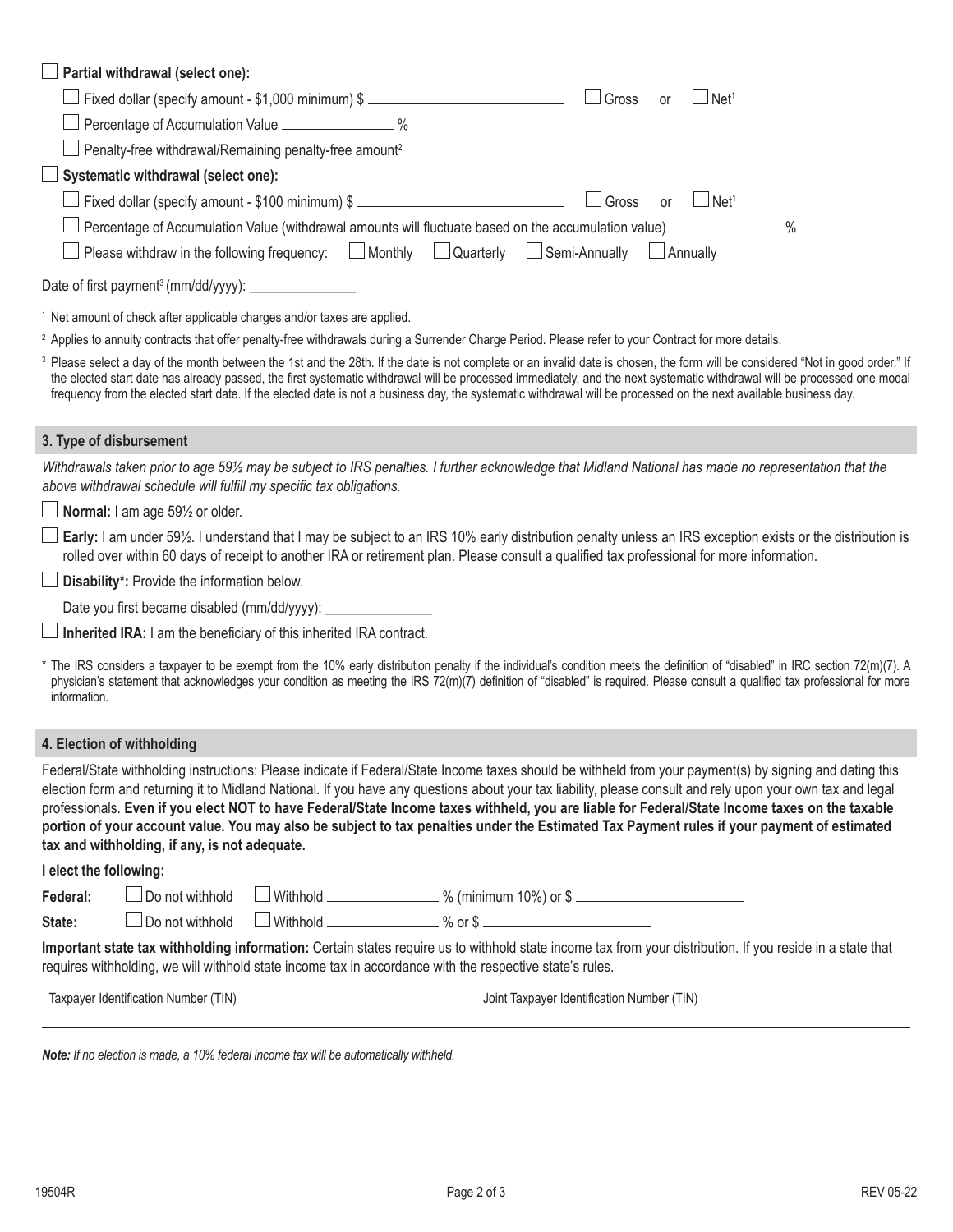| $\Box$ Partial withdrawal (select one):                                                                                                                                                                                                                                                                                                                                                                                                                                                                                                                                                                                                                                  |  |  |  |  |
|--------------------------------------------------------------------------------------------------------------------------------------------------------------------------------------------------------------------------------------------------------------------------------------------------------------------------------------------------------------------------------------------------------------------------------------------------------------------------------------------------------------------------------------------------------------------------------------------------------------------------------------------------------------------------|--|--|--|--|
| Fixed dollar (specify amount - \$1,000 minimum) \$<br>$\Box$ Gross<br>$\lrcorner$ Net $^{\scriptscriptstyle 1}$<br>or                                                                                                                                                                                                                                                                                                                                                                                                                                                                                                                                                    |  |  |  |  |
| Percentage of Accumulation Value _________________ %                                                                                                                                                                                                                                                                                                                                                                                                                                                                                                                                                                                                                     |  |  |  |  |
| Penalty-free withdrawal/Remaining penalty-free amount <sup>2</sup>                                                                                                                                                                                                                                                                                                                                                                                                                                                                                                                                                                                                       |  |  |  |  |
| Systematic withdrawal (select one):                                                                                                                                                                                                                                                                                                                                                                                                                                                                                                                                                                                                                                      |  |  |  |  |
| Fixed dollar (specify amount - \$100 minimum) \$<br>$\Box$ Gross<br>$\Box$ Net <sup>1</sup><br><b>or</b>                                                                                                                                                                                                                                                                                                                                                                                                                                                                                                                                                                 |  |  |  |  |
| Percentage of Accumulation Value (withdrawal amounts will fluctuate based on the accumulation value) ______________ %                                                                                                                                                                                                                                                                                                                                                                                                                                                                                                                                                    |  |  |  |  |
| Please withdraw in the following frequency: $\Box$ Monthly $\Box$ Quarterly $\Box$ Semi-Annually<br>$\Box$ Annually                                                                                                                                                                                                                                                                                                                                                                                                                                                                                                                                                      |  |  |  |  |
|                                                                                                                                                                                                                                                                                                                                                                                                                                                                                                                                                                                                                                                                          |  |  |  |  |
| <sup>1</sup> Net amount of check after applicable charges and/or taxes are applied.                                                                                                                                                                                                                                                                                                                                                                                                                                                                                                                                                                                      |  |  |  |  |
| <sup>2</sup> Applies to annuity contracts that offer penalty-free withdrawals during a Surrender Charge Period. Please refer to your Contract for more details.                                                                                                                                                                                                                                                                                                                                                                                                                                                                                                          |  |  |  |  |
| <sup>3</sup> Please select a day of the month between the 1st and the 28th. If the date is not complete or an invalid date is chosen, the form will be considered "Not in good order." If<br>the elected start date has already passed, the first systematic withdrawal will be processed immediately, and the next systematic withdrawal will be processed one modal<br>frequency from the elected start date. If the elected date is not a business day, the systematic withdrawal will be processed on the next available business day.                                                                                                                               |  |  |  |  |
| 3. Type of disbursement                                                                                                                                                                                                                                                                                                                                                                                                                                                                                                                                                                                                                                                  |  |  |  |  |
| Withdrawals taken prior to age 59½ may be subject to IRS penalties. I further acknowledge that Midland National has made no representation that the<br>above withdrawal schedule will fulfill my specific tax obligations.                                                                                                                                                                                                                                                                                                                                                                                                                                               |  |  |  |  |
| $\Box$ Normal: I am age 59 $\frac{1}{2}$ or older.                                                                                                                                                                                                                                                                                                                                                                                                                                                                                                                                                                                                                       |  |  |  |  |
| $\Box$ Early: I am under 59½. I understand that I may be subject to an IRS 10% early distribution penalty unless an IRS exception exists or the distribution is<br>rolled over within 60 days of receipt to another IRA or retirement plan. Please consult a qualified tax professional for more information.                                                                                                                                                                                                                                                                                                                                                            |  |  |  |  |
| $\Box$ Disability*: Provide the information below.                                                                                                                                                                                                                                                                                                                                                                                                                                                                                                                                                                                                                       |  |  |  |  |
|                                                                                                                                                                                                                                                                                                                                                                                                                                                                                                                                                                                                                                                                          |  |  |  |  |
| Inherited IRA: I am the beneficiary of this inherited IRA contract.                                                                                                                                                                                                                                                                                                                                                                                                                                                                                                                                                                                                      |  |  |  |  |
| * The IRS considers a taxpayer to be exempt from the 10% early distribution penalty if the individual's condition meets the definition of "disabled" in IRC section 72(m)(7). A<br>physician's statement that acknowledges your condition as meeting the IRS 72(m)(7) definition of "disabled" is required. Please consult a qualified tax professional for more<br>information.                                                                                                                                                                                                                                                                                         |  |  |  |  |
| 4. Election of withholding                                                                                                                                                                                                                                                                                                                                                                                                                                                                                                                                                                                                                                               |  |  |  |  |
| Federal/State withholding instructions: Please indicate if Federal/State Income taxes should be withheld from your payment(s) by signing and dating this<br>election form and returning it to Midland National. If you have any questions about your tax liability, please consult and rely upon your own tax and legal<br>professionals. Even if you elect NOT to have Federal/State Income taxes withheld, you are liable for Federal/State Income taxes on the taxable<br>portion of your account value. You may also be subject to tax penalties under the Estimated Tax Payment rules if your payment of estimated<br>tax and withholding, if any, is not adequate. |  |  |  |  |
| I elect the following:                                                                                                                                                                                                                                                                                                                                                                                                                                                                                                                                                                                                                                                   |  |  |  |  |
| __________________________________% (minimum 10%) or \$ _________________________<br>Do not withhold<br>Federal:                                                                                                                                                                                                                                                                                                                                                                                                                                                                                                                                                         |  |  |  |  |
| ■ Withhold ■ Withhold ■ 2% or \$<br>Do not withhold<br>State:                                                                                                                                                                                                                                                                                                                                                                                                                                                                                                                                                                                                            |  |  |  |  |
| Important state tax withholding information: Certain states require us to withhold state income tax from your distribution. If you reside in a state that<br>requires withholding, we will withhold state income tax in accordance with the respective state's rules.                                                                                                                                                                                                                                                                                                                                                                                                    |  |  |  |  |

| (TIN)<br>laxpayer<br>er Identification Number | (TIN)<br>1.01<br>Taxpayer Identification Number<br>Joint |
|-----------------------------------------------|----------------------------------------------------------|
|-----------------------------------------------|----------------------------------------------------------|

*Note: If no election is made, a 10% federal income tax will be automatically withheld.*